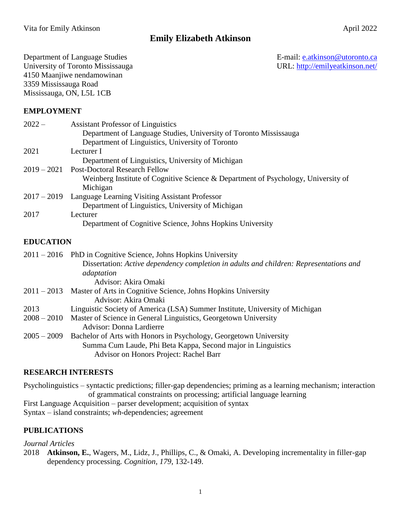# **Emily Elizabeth Atkinson**

Department of Language Studies<br>
University of Toronto Mississauga<br>
URL: http://emilyeatkinson.net/ University of Toronto Mississauga 4150 Maanjiwe nendamowinan 3359 Mississauga Road Mississauga, ON, L5L 1CB

## **EMPLOYMENT**

| $2022 -$      | <b>Assistant Professor of Linguistics</b>                                         |
|---------------|-----------------------------------------------------------------------------------|
|               | Department of Language Studies, University of Toronto Mississauga                 |
|               | Department of Linguistics, University of Toronto                                  |
| 2021          | Lecturer I                                                                        |
|               | Department of Linguistics, University of Michigan                                 |
| $2019 - 2021$ | <b>Post-Doctoral Research Fellow</b>                                              |
|               | Weinberg Institute of Cognitive Science & Department of Psychology, University of |
|               | Michigan                                                                          |
| $2017 - 2019$ | Language Learning Visiting Assistant Professor                                    |
|               | Department of Linguistics, University of Michigan                                 |
| 2017          | Lecturer                                                                          |
|               | Department of Cognitive Science, Johns Hopkins University                         |

## **EDUCATION**

|               | $2011 - 2016$ PhD in Cognitive Science, Johns Hopkins University                       |
|---------------|----------------------------------------------------------------------------------------|
|               | Dissertation: Active dependency completion in adults and children: Representations and |
|               | adaptation                                                                             |
|               | Advisor: Akira Omaki                                                                   |
| $2011 - 2013$ | Master of Arts in Cognitive Science, Johns Hopkins University                          |
|               | Advisor: Akira Omaki                                                                   |
| 2013          | Linguistic Society of America (LSA) Summer Institute, University of Michigan           |
| $2008 - 2010$ | Master of Science in General Linguistics, Georgetown University                        |
|               | <b>Advisor: Donna Lardierre</b>                                                        |
| $2005 - 2009$ | Bachelor of Arts with Honors in Psychology, Georgetown University                      |
|               | Summa Cum Laude, Phi Beta Kappa, Second major in Linguistics                           |
|               | Advisor on Honors Project: Rachel Barr                                                 |

#### **RESEARCH INTERESTS**

Psycholinguistics – syntactic predictions; filler-gap dependencies; priming as a learning mechanism; interaction of grammatical constraints on processing; artificial language learning First Language Acquisition – parser development; acquisition of syntax Syntax – island constraints; *wh*-dependencies; agreement

#### **PUBLICATIONS**

#### *Journal Articles*

2018 **Atkinson, E.**, Wagers, M., Lidz, J., Phillips, C., & Omaki, A. Developing incrementality in filler-gap dependency processing. *Cognition*, *179*, 132-149.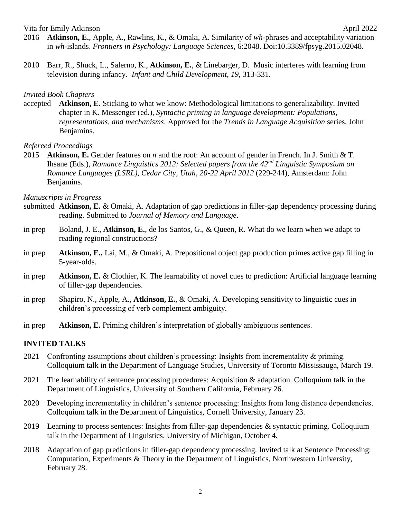Vita for Emily Atkinson April 2022

- 2016 **Atkinson, E.**, Apple, A., Rawlins, K., & Omaki, A. Similarity of *wh*-phrases and acceptability variation in *wh*-islands. *Frontiers in Psychology: Language Sciences*, 6:2048. Doi:10.3389/fpsyg.2015.02048.
- 2010 Barr, R., Shuck, L., Salerno, K., **Atkinson, E.**, & Linebarger, D. Music interferes with learning from television during infancy. *Infant and Child Development*, *19*, 313-331.

#### *Invited Book Chapters*

accepted **Atkinson, E.** Sticking to what we know: Methodological limitations to generalizability. Invited chapter in K. Messenger (ed.), *Syntactic priming in language development: Populations, representations, and mechanisms*. Approved for the *Trends in Language Acquisition* series, John Benjamins.

#### *Refereed Proceedings*

2015 **Atkinson, E.** Gender features on *n* and the root: An account of gender in French. In J. Smith & T. Ihsane (Eds.), *Romance Linguistics 2012: Selected papers from the 42nd Linguistic Symposium on Romance Languages (LSRL), Cedar City, Utah, 20-22 April 2012* (229-244), Amsterdam: John Benjamins.

#### *Manuscripts in Progress*

- submitted **Atkinson, E.** & Omaki, A. Adaptation of gap predictions in filler-gap dependency processing during reading. Submitted to *Journal of Memory and Language*.
- in prep Boland, J. E., **Atkinson, E.**, de los Santos, G., & Queen, R. What do we learn when we adapt to reading regional constructions?
- in prep **Atkinson, E.,** Lai, M., & Omaki, A. Prepositional object gap production primes active gap filling in 5-year-olds.
- in prep **Atkinson, E.** & Clothier, K. The learnability of novel cues to prediction: Artificial language learning of filler-gap dependencies.
- in prep Shapiro, N., Apple, A., **Atkinson, E.**, & Omaki, A. Developing sensitivity to linguistic cues in children's processing of verb complement ambiguity.
- in prep **Atkinson, E.** Priming children's interpretation of globally ambiguous sentences.

#### **INVITED TALKS**

- 2021 Confronting assumptions about children's processing: Insights from incrementality & priming. Colloquium talk in the Department of Language Studies, University of Toronto Mississauga, March 19.
- 2021 The learnability of sentence processing procedures: Acquisition & adaptation. Colloquium talk in the Department of Linguistics, University of Southern California, February 26.
- 2020 Developing incrementality in children's sentence processing: Insights from long distance dependencies. Colloquium talk in the Department of Linguistics, Cornell University, January 23.
- 2019 Learning to process sentences: Insights from filler-gap dependencies & syntactic priming. Colloquium talk in the Department of Linguistics, University of Michigan, October 4.
- 2018 Adaptation of gap predictions in filler-gap dependency processing. Invited talk at Sentence Processing: Computation, Experiments & Theory in the Department of Linguistics, Northwestern University, February 28.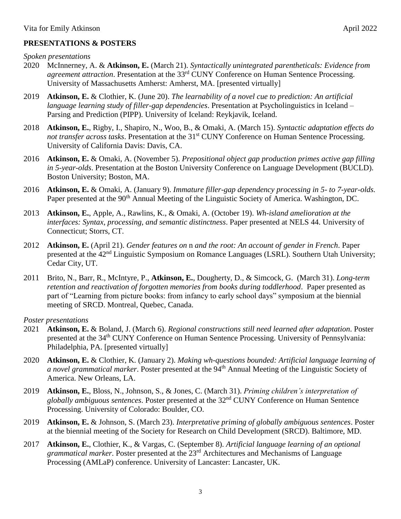# **PRESENTATIONS & POSTERS**

- 2020 McInnerney, A. & **Atkinson, E.** (March 21). *Syntactically unintegrated parentheticals: Evidence from agreement attraction*. Presentation at the 33rd CUNY Conference on Human Sentence Processing. University of Massachusetts Amherst: Amherst, MA. [presented virtually]
- 2019 **Atkinson, E.** & Clothier, K. (June 20). *The learnability of a novel cue to prediction: An artificial language learning study of filler-gap dependencies*. Presentation at Psycholinguistics in Iceland – Parsing and Prediction (PIPP). University of Iceland: Reykjavik, Iceland.
- 2018 **Atkinson, E.**, Rigby, I., Shapiro, N., Woo, B., & Omaki, A. (March 15). *Syntactic adaptation effects do*  not transfer across tasks. Presentation at the 31<sup>st</sup> CUNY Conference on Human Sentence Processing. University of California Davis: Davis, CA.
- 2016 **Atkinson, E.** & Omaki, A. (November 5). *Prepositional object gap production primes active gap filling in 5-year-olds*. Presentation at the Boston University Conference on Language Development (BUCLD). Boston University; Boston, MA.
- 2016 **Atkinson, E.** & Omaki, A. (January 9). *Immature filler-gap dependency processing in 5- to 7-year-olds.* Paper presented at the 90<sup>th</sup> Annual Meeting of the Linguistic Society of America. Washington, DC.
- 2013 **Atkinson, E.**, Apple, A., Rawlins, K., & Omaki, A. (October 19). *Wh-island amelioration at the interfaces: Syntax, processing, and semantic distinctness*. Paper presented at NELS 44. University of Connecticut; Storrs, CT.
- 2012 **Atkinson, E.** (April 21). *Gender features on* n *and the root: An account of gender in French*. Paper presented at the 42<sup>nd</sup> Linguistic Symposium on Romance Languages (LSRL). Southern Utah University; Cedar City, UT.
- 2011 Brito, N., Barr, R., McIntyre, P., **Atkinson, E.**, Dougherty, D., & Simcock, G. (March 31). *Long-term retention and reactivation of forgotten memories from books during toddlerhood*. Paper presented as part of "Learning from picture books: from infancy to early school days" symposium at the biennial meeting of SRCD. Montreal, Quebec, Canada.

*Poster presentations*

- 2021 **Atkinson, E.** & Boland, J. (March 6). *Regional constructions still need learned after adaptation*. Poster presented at the 34<sup>th</sup> CUNY Conference on Human Sentence Processing. University of Pennsylvania: Philadelphia, PA. [presented virtually]
- 2020 **Atkinson, E.** & Clothier, K. (January 2). *Making wh-questions bounded: Artificial language learning of a novel grammatical marker.* Poster presented at the 94<sup>th</sup> Annual Meeting of the Linguistic Society of America. New Orleans, LA.
- 2019 **Atkinson, E.**, Bloss, N., Johnson, S., & Jones, C. (March 31). *Priming children's interpretation of globally ambiguous sentences*. Poster presented at the 32nd CUNY Conference on Human Sentence Processing. University of Colorado: Boulder, CO.
- 2019 **Atkinson, E.** & Johnson, S. (March 23). *Interpretative priming of globally ambiguous sentences*. Poster at the biennial meeting of the Society for Research on Child Development (SRCD). Baltimore, MD.
- 2017 **Atkinson, E.**, Clothier, K., & Vargas, C. (September 8). *Artificial language learning of an optional grammatical marker*. Poster presented at the 23rd Architectures and Mechanisms of Language Processing (AMLaP) conference. University of Lancaster: Lancaster, UK.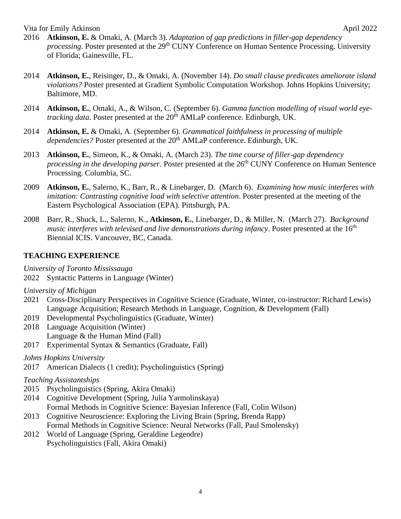Vita for Emily Atkinson April 2022

- 2016 **Atkinson, E.** & Omaki, A. (March 3). *Adaptation of gap predictions in filler-gap dependency processing*. Poster presented at the 29<sup>th</sup> CUNY Conference on Human Sentence Processing. University of Florida; Gainesville, FL.
- 2014 **Atkinson, E.**, Reisinger, D., & Omaki, A. (November 14). *Do small clause predicates ameliorate island violations?* Poster presented at Gradient Symbolic Computation Workshop. Johns Hopkins University; Baltimore, MD.
- 2014 **Atkinson, E.**, Omaki, A., & Wilson, C. (September 6). *Gamma function modelling of visual world eyetracking data*. Poster presented at the 20<sup>th</sup> AMLaP conference. Edinburgh, UK.
- 2014 **Atkinson, E.** & Omaki, A. (September 6). *Grammatical faithfulness in processing of multiple dependencies?* Poster presented at the 20<sup>th</sup> AMLaP conference. Edinburgh, UK.
- 2013 **Atkinson, E.**, Simeon, K., & Omaki, A. (March 23). *The time course of filler-gap dependency processing in the developing parser*. Poster presented at the 26<sup>th</sup> CUNY Conference on Human Sentence Processing. Columbia, SC.
- 2009 **Atkinson, E.**, Salerno, K., Barr, R., & Linebarger, D. (March 6). *Examining how music interferes with imitation: Contrasting cognitive load with selective attention*. Poster presented at the meeting of the Eastern Psychological Association (EPA). Pittsburgh, PA.
- 2008 Barr, R., Shuck, L., Salerno, K., **Atkinson, E.**, Linebarger, D., & Miller, N. (March 27). *Background music interferes with televised and live demonstrations during infancy.* Poster presented at the 16<sup>th</sup> Biennial ICIS. Vancouver, BC, Canada.

# **TEACHING EXPERIENCE**

*University of Toronto Mississauga*

2022 Syntactic Patterns in Language (Winter)

*University of Michigan*

- 2021 Cross-Disciplinary Perspectives in Cognitive Science (Graduate, Winter, co-instructor: Richard Lewis) Language Acquisition; Research Methods in Language, Cognition, & Development (Fall)
- 2019 Developmental Psycholinguistics (Graduate, Winter)
- 2018 Language Acquisition (Winter) Language & the Human Mind (Fall)
- 2017 Experimental Syntax & Semantics (Graduate, Fall)

*Johns Hopkins University*

2017 American Dialects (1 credit); Psycholinguistics (Spring)

*Teaching Assistantships*

- 2015 Psycholinguistics (Spring, Akira Omaki)
- 2014 Cognitive Development (Spring, Julia Yarmolinskaya)
- Formal Methods in Cognitive Science: Bayesian Inference (Fall, Colin Wilson)
- 2013 Cognitive Neuroscience: Exploring the Living Brain (Spring, Brenda Rapp) Formal Methods in Cognitive Science: Neural Networks (Fall, Paul Smolensky)
- 2012 World of Language (Spring, Geraldine Legendre) Psycholinguistics (Fall, Akira Omaki)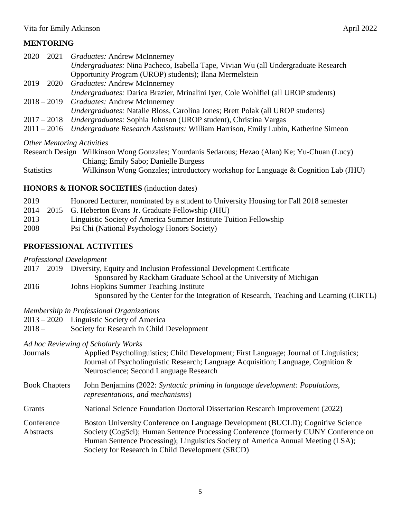# **MENTORING**

|               | 2020 – 2021 Graduates: Andrew McInnerney                                           |
|---------------|------------------------------------------------------------------------------------|
|               | Undergraduates: Nina Pacheco, Isabella Tape, Vivian Wu (all Undergraduate Research |
|               | Opportunity Program (UROP) students); Ilana Mermelstein                            |
|               | 2019 – 2020 Graduates: Andrew McInnerney                                           |
|               | Undergraduates: Darica Brazier, Mrinalini Iyer, Cole Wohlfiel (all UROP students)  |
|               | 2018 – 2019 Graduates: Andrew McInnerney                                           |
|               | Undergraduates: Natalie Bloss, Carolina Jones; Brett Polak (all UROP students)     |
|               | 2017 – 2018 <i>Undergraduates:</i> Sophia Johnson (UROP student), Christina Vargas |
| $2011 - 2016$ | Undergraduate Research Assistants: William Harrison, Emily Lubin, Katherine Simeon |
|               |                                                                                    |

*Other Mentoring Activities*

|                   | Research Design Wilkinson Wong Gonzales; Yourdanis Sedarous; Hezao (Alan) Ke; Yu-Chuan (Lucy) |
|-------------------|-----------------------------------------------------------------------------------------------|
|                   | Chiang; Emily Sabo; Danielle Burgess                                                          |
| <b>Statistics</b> | Wilkinson Wong Gonzales; introductory workshop for Language & Cognition Lab (JHU)             |

# **HONORS & HONOR SOCIETIES** (induction dates)

| 2019 | Honored Lecturer, nominated by a student to University Housing for Fall 2018 semester |
|------|---------------------------------------------------------------------------------------|
|      | 2014 – 2015 G. Heberton Evans Jr. Graduate Fellowship (JHU)                           |
| 2013 | Linguistic Society of America Summer Institute Tuition Fellowship                     |
| 2008 | Psi Chi (National Psychology Honors Society)                                          |

# **PROFESSIONAL ACTIVITIES**

*Professional Development*

2017 – 2019 Diversity, Equity and Inclusion Professional Development Certificate

Sponsored by Rackham Graduate School at the University of Michigan

- 2016 Johns Hopkins Summer Teaching Institute
	- Sponsored by the Center for the Integration of Research, Teaching and Learning (CIRTL)

*Membership in Professional Organizations*

- 2013 2020 Linguistic Society of America
- 2018 Society for Research in Child Development

*Ad hoc Reviewing of Scholarly Works*

| Journals                | Applied Psycholinguistics; Child Development; First Language; Journal of Linguistics;<br>Journal of Psycholinguistic Research; Language Acquisition; Language, Cognition &<br>Neuroscience; Second Language Research                                                                                           |
|-------------------------|----------------------------------------------------------------------------------------------------------------------------------------------------------------------------------------------------------------------------------------------------------------------------------------------------------------|
| <b>Book Chapters</b>    | John Benjamins (2022: Syntactic priming in language development: Populations,<br>representations, and mechanisms)                                                                                                                                                                                              |
| Grants                  | National Science Foundation Doctoral Dissertation Research Improvement (2022)                                                                                                                                                                                                                                  |
| Conference<br>Abstracts | Boston University Conference on Language Development (BUCLD); Cognitive Science<br>Society (CogSci); Human Sentence Processing Conference (formerly CUNY Conference on<br>Human Sentence Processing); Linguistics Society of America Annual Meeting (LSA);<br>Society for Research in Child Development (SRCD) |